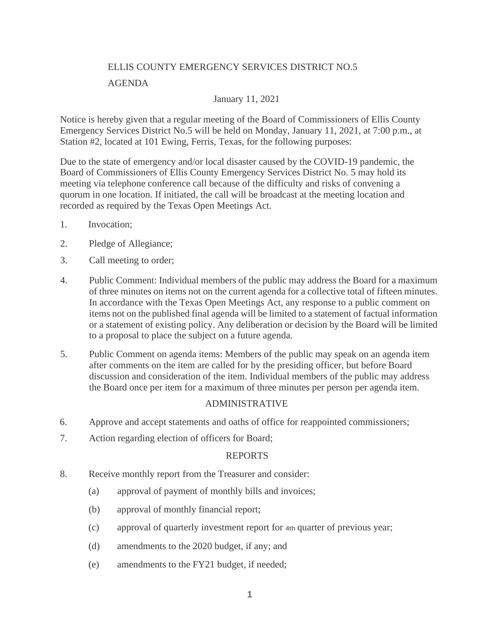# ELLIS COUNTY EMERGENCY SERVICES DISTRICT NO.5

## AGENDA

# January 11, 2021

Notice is hereby given that a regular meeting of the Board of Commissioners of Ellis County Emergency Services District No.5 will be held on Monday, January 11, 2021, at 7:00 p.m., at Station #2, located at 101 Ewing, Ferris, Texas, for the following purposes:

Due to the state of emergency and/or local disaster caused by the COVID-19 pandemic, the Board of Commissioners of Ellis County Emergency Services District No. 5 may hold its meeting via telephone conference call because of the difficulty and risks of convening a quorum in one location. If initiated, the call will be broadcast at the meeting location and recorded as required by the Texas Open Meetings Act.

- 1. Invocation;
- 2. Pledge of Allegiance;
- 3. Call meeting to order;
- 4. Public Comment: Individual members of the public may address the Board for a maximum of three minutes on items not on the current agenda for a collective total of fifteen minutes. In accordance with the Texas Open Meetings Act, any response to a public comment on items not on the published final agenda will be limited to a statement of factual information or a statement of existing policy. Any deliberation or decision by the Board will be limited to a proposal to place the subject on a future agenda.
- 5. Public Comment on agenda items: Members of the public may speak on an agenda item after comments on the item are called for by the presiding officer, but before Board discussion and consideration of the item. Individual members of the public may address the Board once per item for a maximum of three minutes per person per agenda item.

### ADMINISTRATIVE

- 6. Approve and accept statements and oaths of office for reappointed commissioners;
- 7. Action regarding election of officers for Board;

### REPORTS

- 8. Receive monthly report from the Treasurer and consider:
	- (a) approval of payment of monthly bills and invoices;
	- (b) approval of monthly financial report;
	- (c) approval of quarterly investment report for 4th quarter of previous year;
	- (d) amendments to the 2020 budget, if any; and
	- (e) amendments to the FY21 budget, if needed;